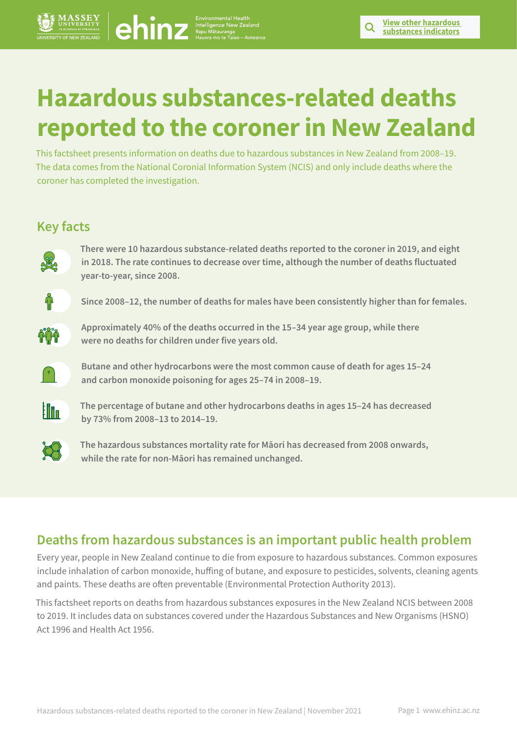# **Hazardous substances-related deaths reported to the coroner in New Zealand Hazardous substances-related deaths reported in New Zealand**<br> **Hazardous substances in the coroner in New Zealand**<br> **Direction correlate and the coroner in New Zealand**<br> **Direction correlate in the coroner in New Zealan**

This factsheet presents information on deaths due to hazardous substances in New Zealand from 2008–19. The data comes from the National Coronial Information System (NCIS) and only include deaths where the coroner has completed the investigation.

# **Key facts**



**There were 10 hazardous substance-related deaths reported to the coroner in 2019, and eight in 2018. The rate continues to decrease over time, although the number of deaths fluctuated year-to-year, since 2008.** 

**Since 2008–12, the number of deaths for males have been consistently higher than for females.** 



**Approximately 40% of the deaths occurred in the 15–34 year age group, while there were no deaths for children under five years old.** 



**Butane and other hydrocarbons were the most common cause of death for ages 15–24 and carbon monoxide poisoning for ages 25–74 in 2008–19.** 



**The percentage of butane and other hydrocarbons deaths in ages 15–24 has decreased by 73% from 2008–13 to 2014–19.** 



**The hazardous substances mortality rate for Māori has decreased from 2008 onwards, while the rate for non-Māori has remained unchanged.** 

# **Deaths from hazardous substances is an important public health problem**

Every year, people in New Zealand continue to die from exposure to hazardous substances. Common exposures include inhalation of carbon monoxide, huffing of butane, and exposure to pesticides, solvents, cleaning agents and paints. These deaths are often preventable (Environmental Protection Authority 2013).

This factsheet reports on deaths from hazardous substances exposures in the New Zealand NCIS between 2008 to 2019. It includes data on substances covered under the Hazardous Substances and New Organisms (HSNO) Act 1996 and Health Act 1956.

**substances indicators**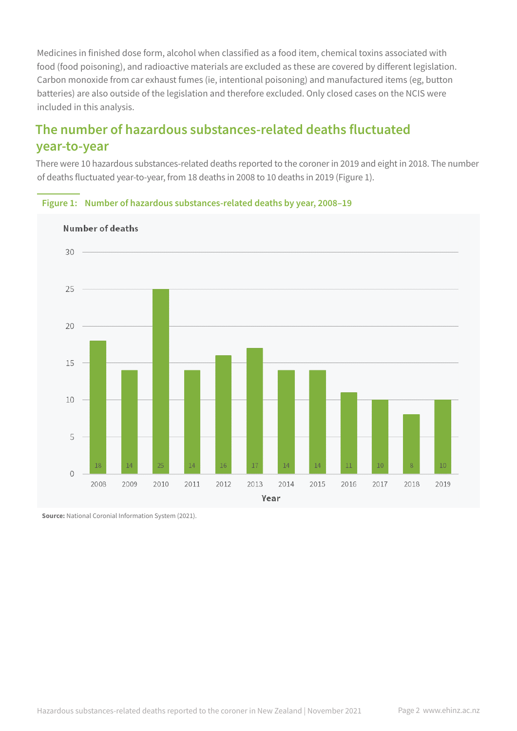Medicines in finished dose form, alcohol when classified as a food item, chemical toxins associated with food (food poisoning), and radioactive materials are excluded as these are covered by different legislation. Carbon monoxide from car exhaust fumes (ie, intentional poisoning) and manufactured items (eg, button batteries) are also outside of the legislation and therefore excluded. Only closed cases on the NCIS were included in this analysis.

# **The number of hazardous substances-related deaths fluctuated year-to-year**

There were 10 hazardous substances-related deaths reported to the coroner in 2019 and eight in 2018. The number of deaths fluctuated year-to-year, from 18 deaths in 2008 to 10 deaths in 2019 (Figure 1).



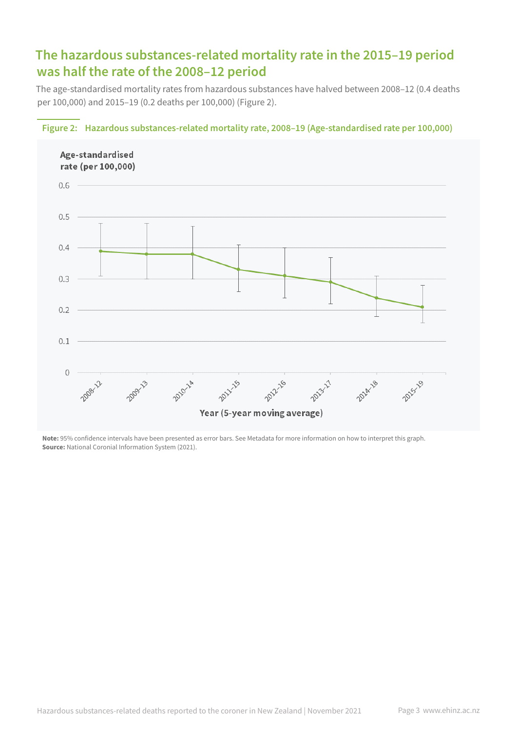# **The hazardous substances-related mortality rate in the 2015–19 period was half the rate of the 2008–12 period**

The age-standardised mortality rates from hazardous substances have halved between 2008–12 (0.4 deaths per 100,000) and 2015–19 (0.2 deaths per 100,000) (Figure 2).





**Note:** 95% confidence intervals have been presented as error bars. See Metadata for more information on how to interpret this graph. **Source:** National Coronial Information System (2021).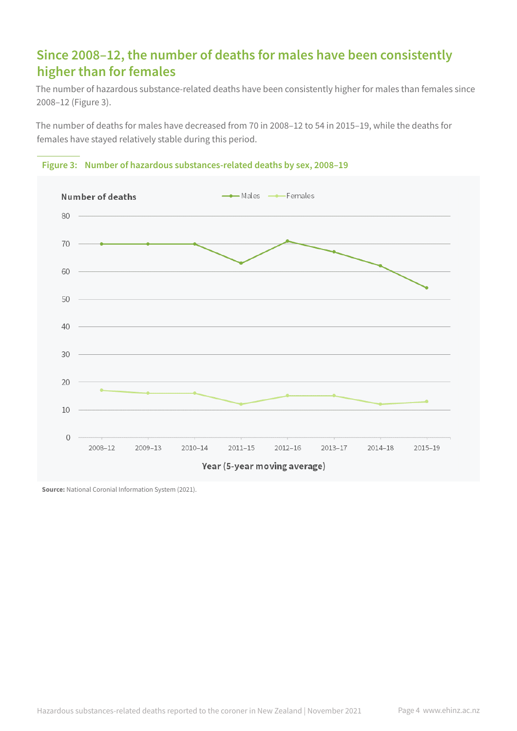# **Since 2008–12, the number of deaths for males have been consistently higher than for females**

The number of hazardous substance-related deaths have been consistently higher for males than females since 2008–12 (Figure 3).

The number of deaths for males have decreased from 70 in 2008–12 to 54 in 2015–19, while the deaths for females have stayed relatively stable during this period.



**Figure 3: Number of hazardous substances-related deaths by sex, 2008–19**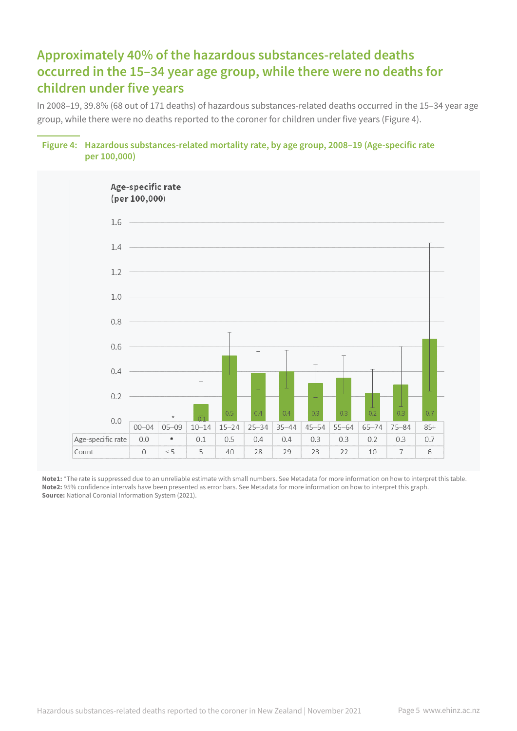# **Approximately 40% of the hazardous substances-related deaths occurred in the 15–34 year age group, while there were no deaths for children under five years**

In 2008–19, 39.8% (68 out of 171 deaths) of hazardous substances-related deaths occurred in the 15–34 year age group, while there were no deaths reported to the coroner for children under five years (Figure 4).





**Note1:** \*The rate is suppressed due to an unreliable estimate with small numbers. See Metadata for more information on how to interpret this table. **Note2:** 95% confidence intervals have been presented as error bars. See Metadata for more information on how to interpret this graph. **Source:** National Coronial Information System (2021).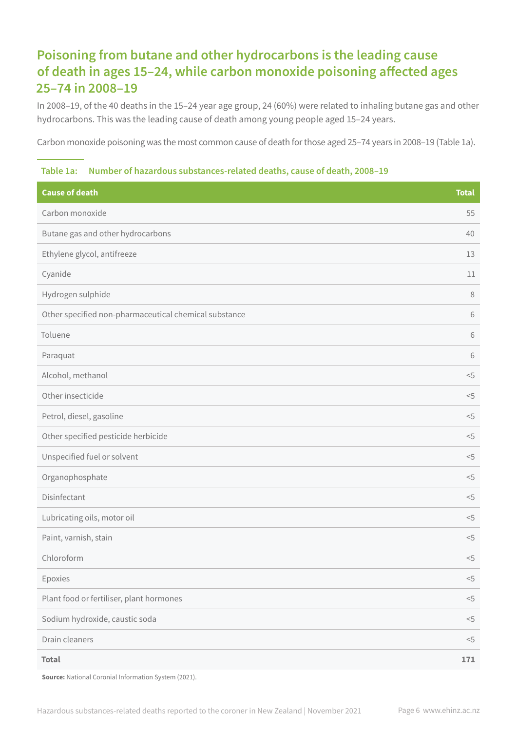# **Poisoning from butane and other hydrocarbons is the leading cause of death in ages 15–24, while carbon monoxide poisoning affected ages 25–74 in 2008–19**

In 2008–19, of the 40 deaths in the 15–24 year age group, 24 (60%) were related to inhaling butane gas and other hydrocarbons. This was the leading cause of death among young people aged 15–24 years.

Carbon monoxide poisoning was the most common cause of death for those aged 25–74 years in 2008–19 (Table 1a).

### **Table 1a: Number of hazardous substances-related deaths, cause of death, 2008–19**

| <b>Cause of death</b>                                 | <b>Total</b> |
|-------------------------------------------------------|--------------|
| Carbon monoxide                                       | 55           |
| Butane gas and other hydrocarbons                     | 40           |
| Ethylene glycol, antifreeze                           | 13           |
| Cyanide                                               | 11           |
| Hydrogen sulphide                                     | 8            |
| Other specified non-pharmaceutical chemical substance | 6            |
| Toluene                                               | 6            |
| Paraquat                                              | 6            |
| Alcohol, methanol                                     | $<\!\!5$     |
| Other insecticide                                     | $<\!\!5$     |
| Petrol, diesel, gasoline                              | $<\!\!5$     |
| Other specified pesticide herbicide                   | $<\!\!5$     |
| Unspecified fuel or solvent                           | $<\!\!5$     |
| Organophosphate                                       | $<\!\!5$     |
| Disinfectant                                          | $<\!\!5$     |
| Lubricating oils, motor oil                           | $<\!\!5$     |
| Paint, varnish, stain                                 | $<$ 5        |
| Chloroform                                            | $<$ 5        |
| Epoxies                                               | $<\!\!5$     |
| Plant food or fertiliser, plant hormones              | $<\!\!5$     |
| Sodium hydroxide, caustic soda                        | $<\!\!5$     |
| Drain cleaners                                        | $<\!\!5$     |
| <b>Total</b>                                          | 171          |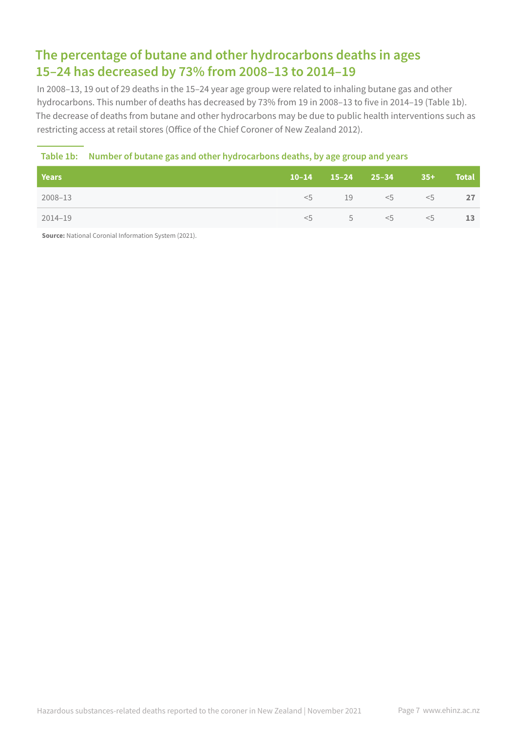# **The percentage of butane and other hydrocarbons deaths in ages 15–24 has decreased by 73% from 2008–13 to 2014–19**

In 2008–13, 19 out of 29 deaths in the 15–24 year age group were related to inhaling butane gas and other hydrocarbons. This number of deaths has decreased by 73% from 19 in 2008–13 to five in 2014–19 (Table 1b). The decrease of deaths from butane and other hydrocarbons may be due to public health interventions such as restricting access at retail stores (Office of the Chief Coroner of New Zealand 2012).

### **Table 1b: Number of butane gas and other hydrocarbons deaths, by age group and years**

| Years   |     | $10-14$ $15-24$ $25-34$ $35+$ |       | / Total /       |
|---------|-----|-------------------------------|-------|-----------------|
| 2008-13 |     | $\leq 5$ 19 $\leq 5$          | $<$ 5 | 27              |
| 2014-19 | < 5 | $5 \leq 5$                    | $<$ 5 | 13 <sup>7</sup> |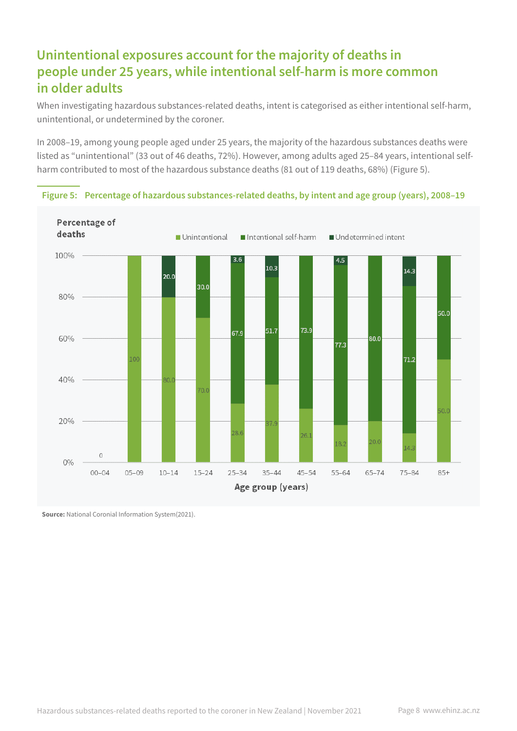# **Unintentional exposures account for the majority of deaths in people under 25 years, while intentional self-harm is more common in older adults**

When investigating hazardous substances-related deaths, intent is categorised as either intentional self-harm, unintentional, or undetermined by the coroner.

In 2008–19, among young people aged under 25 years, the majority of the hazardous substances deaths were listed as "unintentional" (33 out of 46 deaths, 72%). However, among adults aged 25–84 years, intentional selfharm contributed to most of the hazardous substance deaths (81 out of 119 deaths, 68%) (Figure 5).



**Figure 5: Percentage of hazardous substances-related deaths, by intent and age group (years), 2008–19**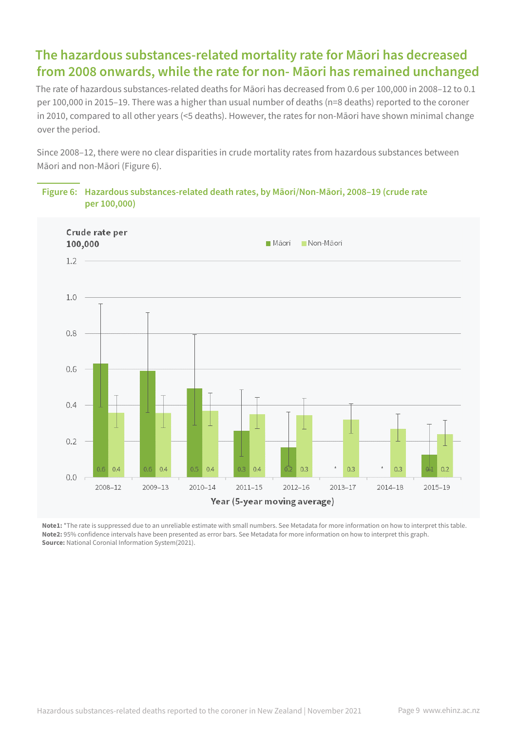# **The hazardous substances-related mortality rate for Māori has decreased from 2008 onwards, while the rate for non- Māori has remained unchanged**

The rate of hazardous substances-related deaths for Māori has decreased from 0.6 per 100,000 in 2008–12 to 0.1 per 100,000 in 2015–19. There was a higher than usual number of deaths (n=8 deaths) reported to the coroner in 2010, compared to all other years (<5 deaths). However, the rates for non-Māori have shown minimal change over the period.

Since 2008–12, there were no clear disparities in crude mortality rates from hazardous substances between Māori and non-Māori (Figure 6).



**Figure 6: Hazardous substances-related death rates, by Māori/Non-Māori, 2008–19 (crude rate per 100,000)**

**Note1:** \*The rate is suppressed due to an unreliable estimate with small numbers. See Metadata for more information on how to interpret this table. **Note2:** 95% confidence intervals have been presented as error bars. See Metadata for more information on how to interpret this graph. **Source:** National Coronial Information System(2021).